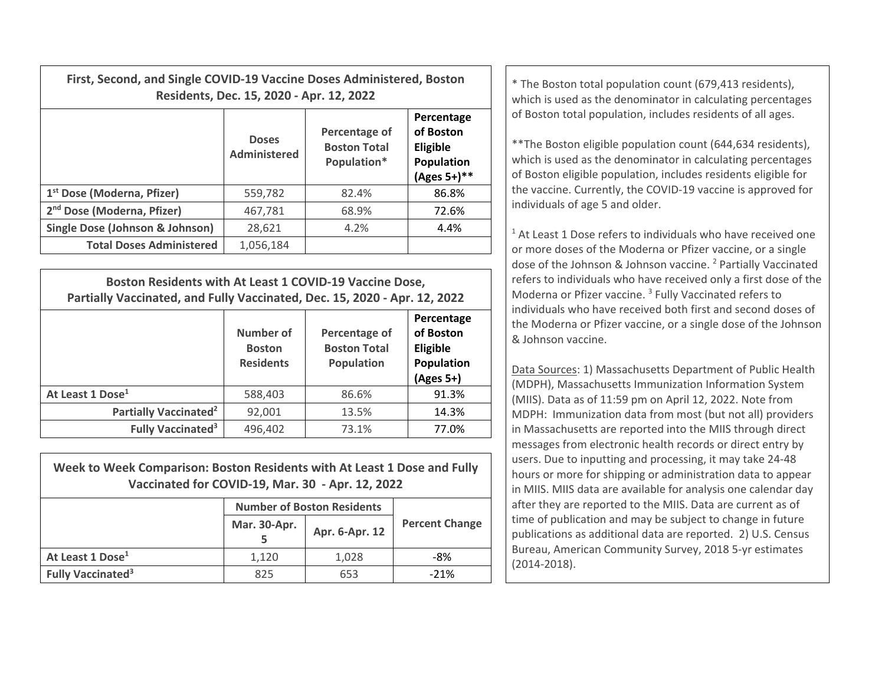| First, Second, and Single COVID-19 Vaccine Doses Administered, Boston | Residents, Dec. 15, 2020 - Apr. 12, 2022 | * The Boston total population count (679,413 residents),<br>which is used as the denominator in calculating percentages |                                                                            |                                                                                                                                                                                                                                                              |  |
|-----------------------------------------------------------------------|------------------------------------------|-------------------------------------------------------------------------------------------------------------------------|----------------------------------------------------------------------------|--------------------------------------------------------------------------------------------------------------------------------------------------------------------------------------------------------------------------------------------------------------|--|
|                                                                       | <b>Doses</b><br>Administered             | Percentage of<br><b>Boston Total</b><br>Population*                                                                     | Percentage<br>of Boston<br><b>Eligible</b><br>Population<br>$(Ages 5+)$ ** | of Boston total population, includes residents of all ages.<br>** The Boston eligible population count (644,634 residents),<br>which is used as the denominator in calculating percentages<br>of Boston eligible population, includes residents eligible for |  |
| 1 <sup>st</sup> Dose (Moderna, Pfizer)                                | 559,782                                  | 82.4%                                                                                                                   | 86.8%                                                                      | the vaccine. Currently, the COVID-19 vaccine is approved for<br>individuals of age 5 and older.<br><sup>1</sup> At Least 1 Dose refers to individuals who have received on                                                                                   |  |
| 2 <sup>nd</sup> Dose (Moderna, Pfizer)                                | 467,781                                  | 68.9%                                                                                                                   | 72.6%                                                                      |                                                                                                                                                                                                                                                              |  |
| Single Dose (Johnson & Johnson)                                       | 28,621                                   | 4.2%                                                                                                                    | 4.4%                                                                       |                                                                                                                                                                                                                                                              |  |
| <b>Total Doses Administered</b>                                       | 1,056,184                                |                                                                                                                         |                                                                            | or more doses of the Moderna or Pfizer vaccine, or a single                                                                                                                                                                                                  |  |

| Boston Residents with At Least 1 COVID-19 Vaccine Dose,<br>Partially Vaccinated, and Fully Vaccinated, Dec. 15, 2020 - Apr. 12, 2022 |                                                |                                                           |                                                                  |  |  |  |
|--------------------------------------------------------------------------------------------------------------------------------------|------------------------------------------------|-----------------------------------------------------------|------------------------------------------------------------------|--|--|--|
|                                                                                                                                      | Number of<br><b>Boston</b><br><b>Residents</b> | Percentage of<br><b>Boston Total</b><br><b>Population</b> | Percentage<br>of Boston<br>Eligible<br>Population<br>$(Ages 5+)$ |  |  |  |
| At Least 1 Dose <sup>1</sup>                                                                                                         | 588,403                                        | 86.6%                                                     | 91.3%                                                            |  |  |  |
| Partially Vaccinated <sup>2</sup>                                                                                                    | 92,001                                         | 13.5%                                                     | 14.3%                                                            |  |  |  |
| <b>Fully Vaccinated<sup>3</sup></b>                                                                                                  | 496,402                                        | 73.1%                                                     | 77.0%                                                            |  |  |  |

| Week to Week Comparison: Boston Residents with At Least 1 Dose and Fully<br>Vaccinated for COVID-19, Mar. 30 - Apr. 12, 2022 |                                   |                |                       |  |  |  |  |
|------------------------------------------------------------------------------------------------------------------------------|-----------------------------------|----------------|-----------------------|--|--|--|--|
|                                                                                                                              | <b>Number of Boston Residents</b> |                |                       |  |  |  |  |
|                                                                                                                              | Mar. 30-Apr.                      | Apr. 6-Apr. 12 | <b>Percent Change</b> |  |  |  |  |
| At Least 1 Dose <sup>1</sup>                                                                                                 | 1.120                             | 1,028          | -8%                   |  |  |  |  |
| <b>Fully Vaccinated<sup>3</sup></b>                                                                                          | 825                               | 653            | $-21%$                |  |  |  |  |

 $1$  At Least 1 Dose refers to individuals who have received one or more doses of the Moderna or Pfizer vaccine, or <sup>a</sup> single dose of the Johnson & Johnson vaccine. <sup>2</sup> Partially Vaccinated refers to individuals who have received only <sup>a</sup> first dose of the Moderna or Pfizer vaccine. <sup>3</sup> Fully Vaccinated refers to individuals who have received both first and second doses of the Moderna or Pfizer vaccine, or <sup>a</sup> single dose of the Johnson & Johnson vaccine.

Data Sources: 1) Massachusetts Department of Public Health (MDPH), Massachusetts Immunization Information System (MIIS). Data as of 11:59 pm on April 12, 2022. Note from MDPH: Immunization data from most (but not all) providers in Massachusetts are reported into the MIIS through direct messages from electronic health records or direct entry by users. Due to inputting and processing, it may take 24‐48 hours or more for shipping or administration data to appear in MIIS. MIIS data are available for analysis one calendar day after they are reported to the MIIS. Data are current as of time of publication and may be subject to change in future publications as additional data are reported. 2) U.S. Census Bureau, American Community Survey, 2018 5‐yr estimates (2014‐2018).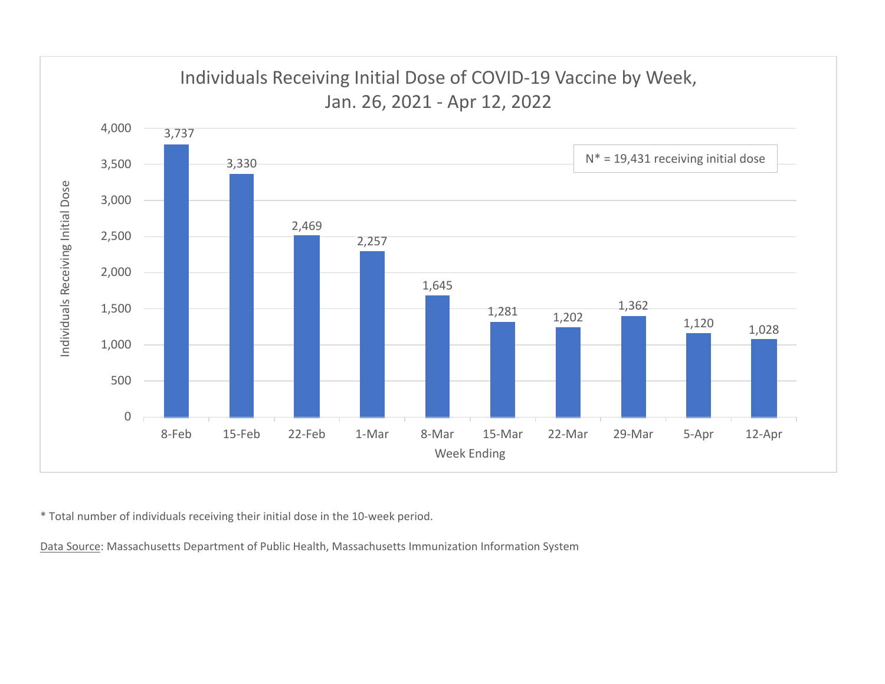

\* Total number of individuals receiving their initial dose in the 10‐week period.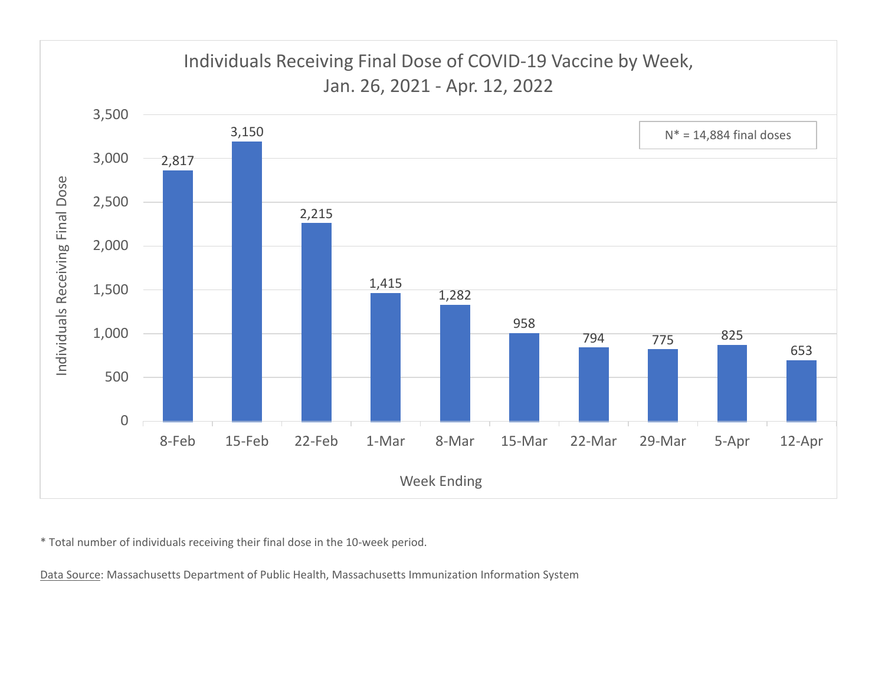

\* Total number of individuals receiving their final dose in the 10‐week period.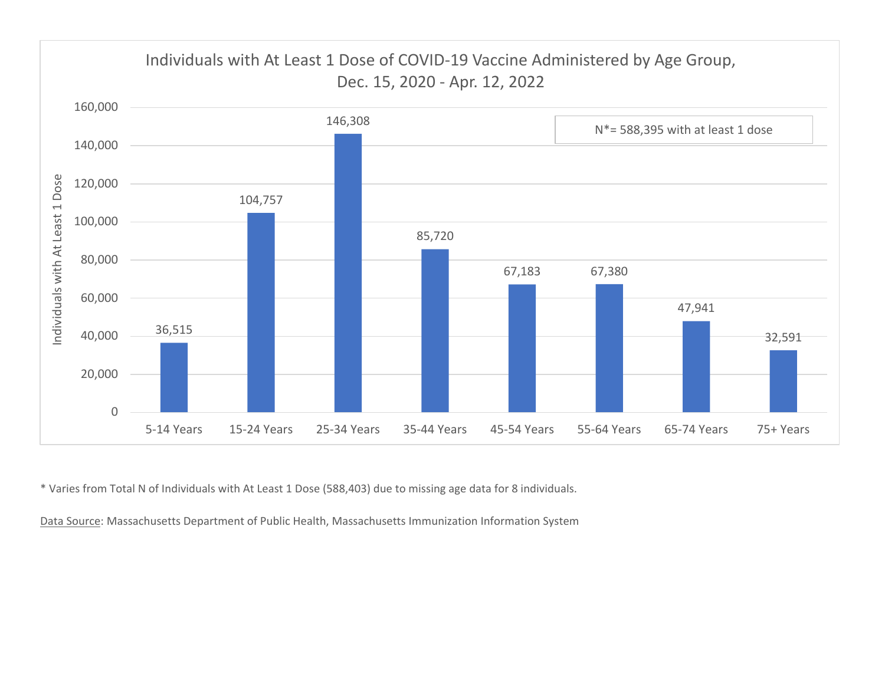

\* Varies from Total N of Individuals with At Least 1 Dose (588,403) due to missing age data for 8 individuals.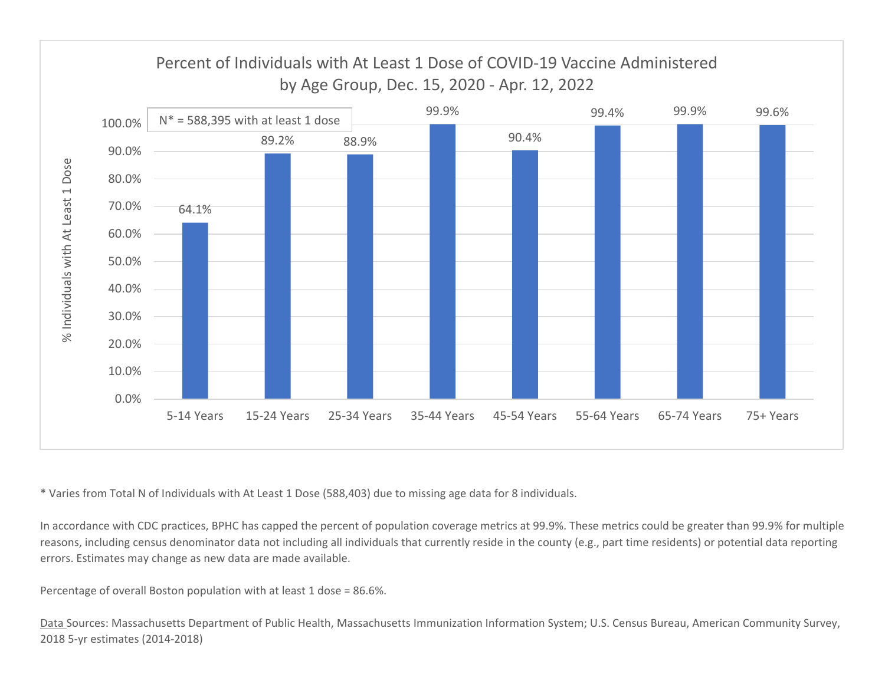

\* Varies from Total N of Individuals with At Least 1 Dose (588,403) due to missing age data for 8 individuals.

In accordance with CDC practices, BPHC has capped the percent of population coverage metrics at 99.9%. These metrics could be greater than 99.9% for multiple reasons, including census denominator data not including all individuals that currently reside in the county (e.g., part time residents) or potential data reporting errors. Estimates may change as new data are made available.

Percentage of overall Boston population with at least 1 dose <sup>=</sup> 86.6%.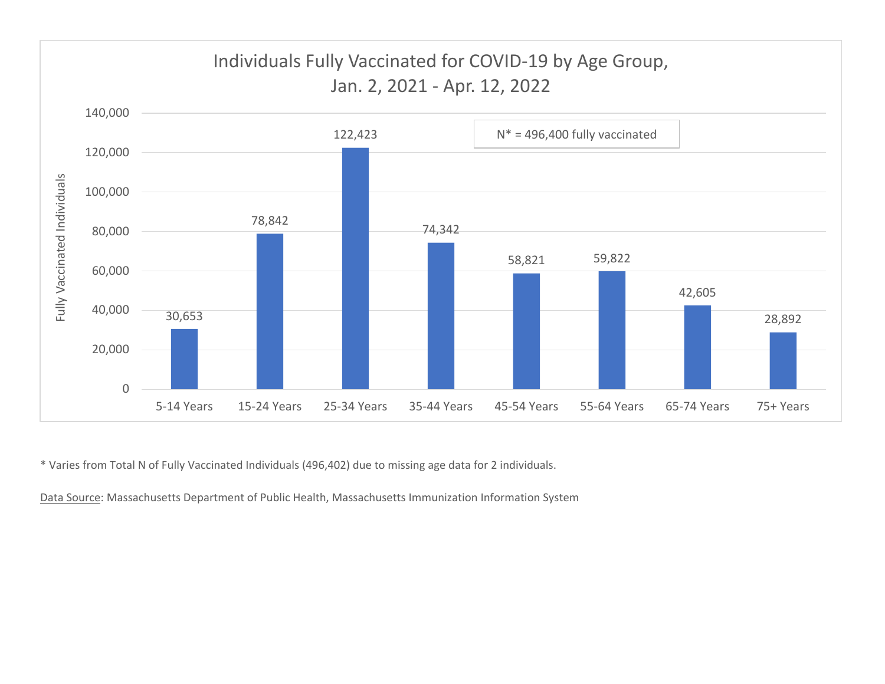

\* Varies from Total N of Fully Vaccinated Individuals (496,402) due to missing age data for 2 individuals.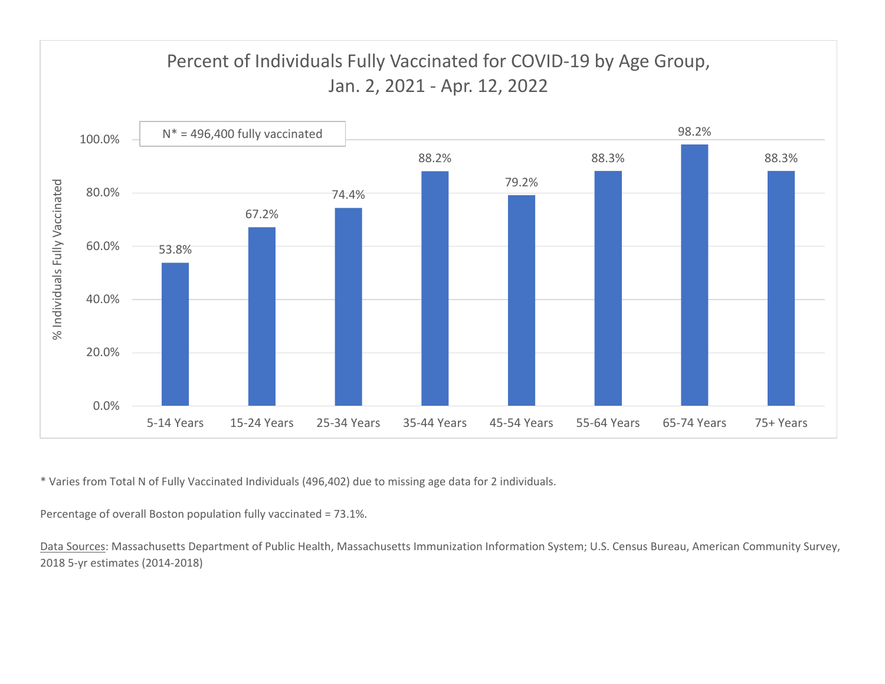

\* Varies from Total N of Fully Vaccinated Individuals (496,402) due to missing age data for 2 individuals.

Percentage of overall Boston population fully vaccinated <sup>=</sup> 73.1%.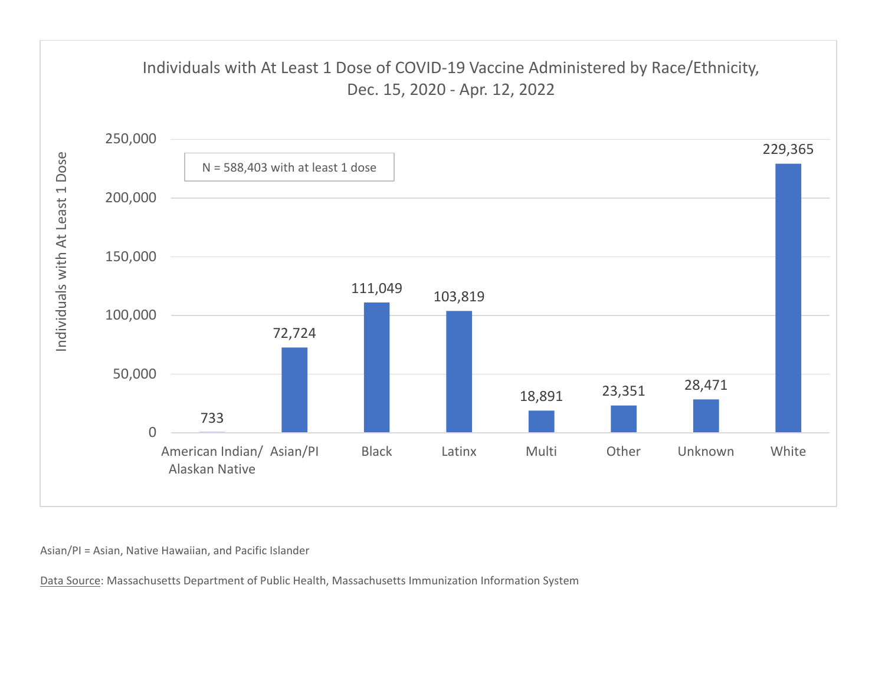

Asian/PI <sup>=</sup> Asian, Native Hawaiian, and Pacific Islander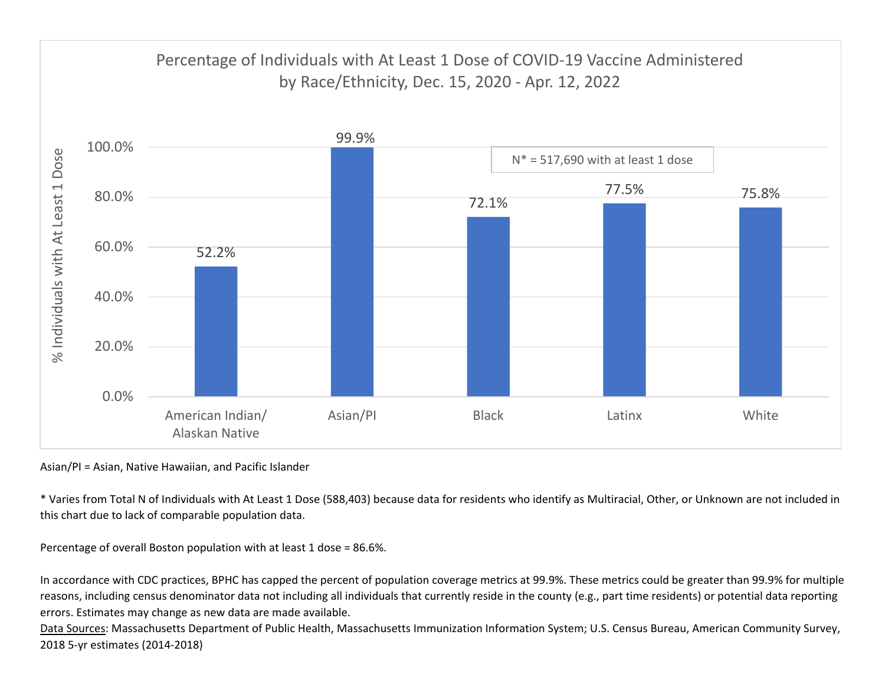

Asian/PI <sup>=</sup> Asian, Native Hawaiian, and Pacific Islander

\* Varies from Total N of Individuals with At Least 1 Dose (588,403) because data for residents who identify as Multiracial, Other, or Unknown are not included in this chart due to lack of comparable population data.

Percentage of overall Boston population with at least 1 dose <sup>=</sup> 86.6%.

In accordance with CDC practices, BPHC has capped the percent of population coverage metrics at 99.9%. These metrics could be greater than 99.9% for multiple reasons, including census denominator data not including all individuals that currently reside in the county (e.g., part time residents) or potential data reporting errors. Estimates may change as new data are made available.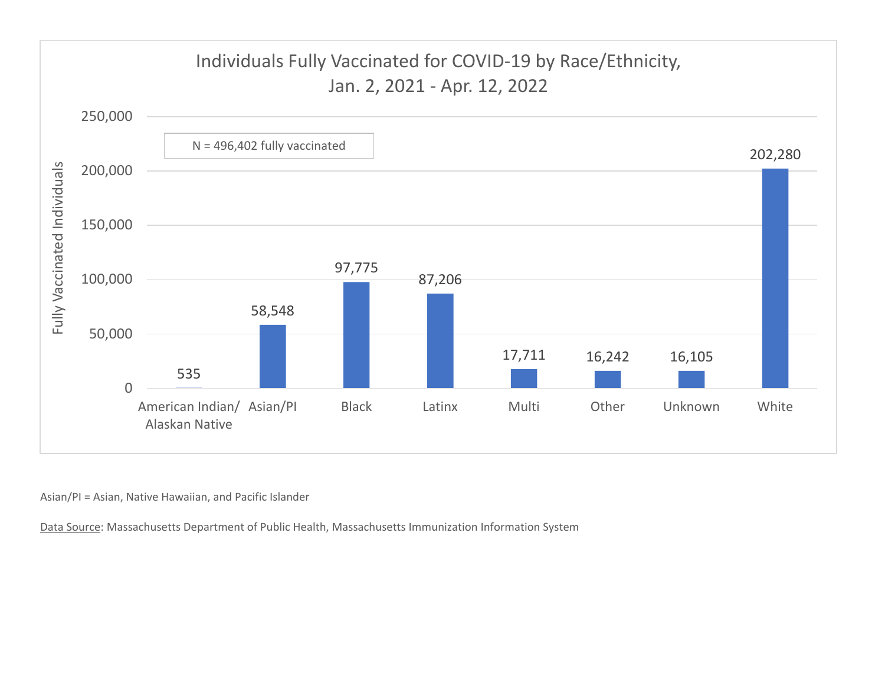

Asian/PI <sup>=</sup> Asian, Native Hawaiian, and Pacific Islander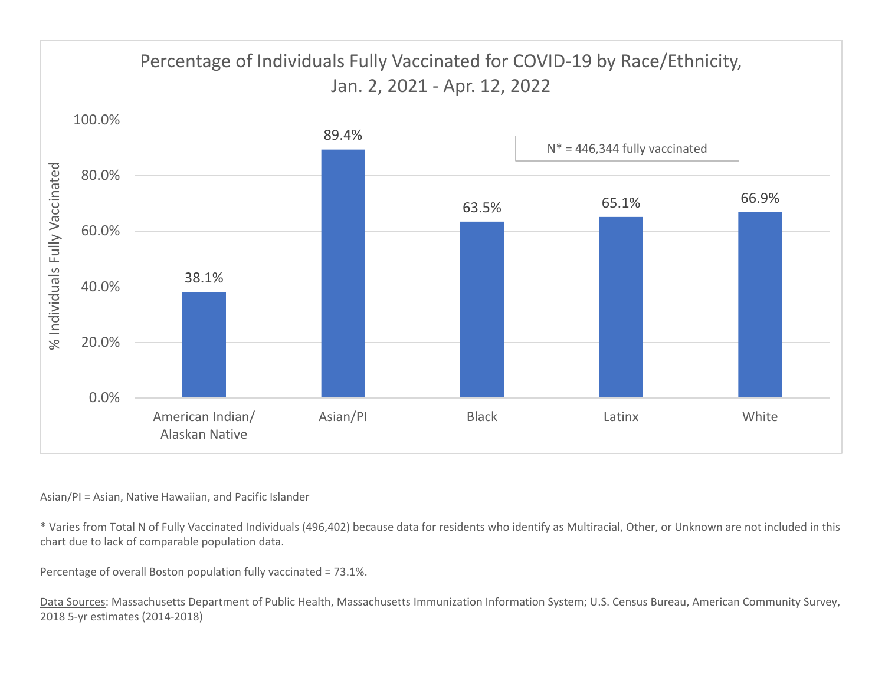

## Asian/PI <sup>=</sup> Asian, Native Hawaiian, and Pacific Islander

\* Varies from Total N of Fully Vaccinated Individuals (496,402) because data for residents who identify as Multiracial, Other, or Unknown are not included in this chart due to lack of comparable population data.

Percentage of overall Boston population fully vaccinated <sup>=</sup> 73.1%.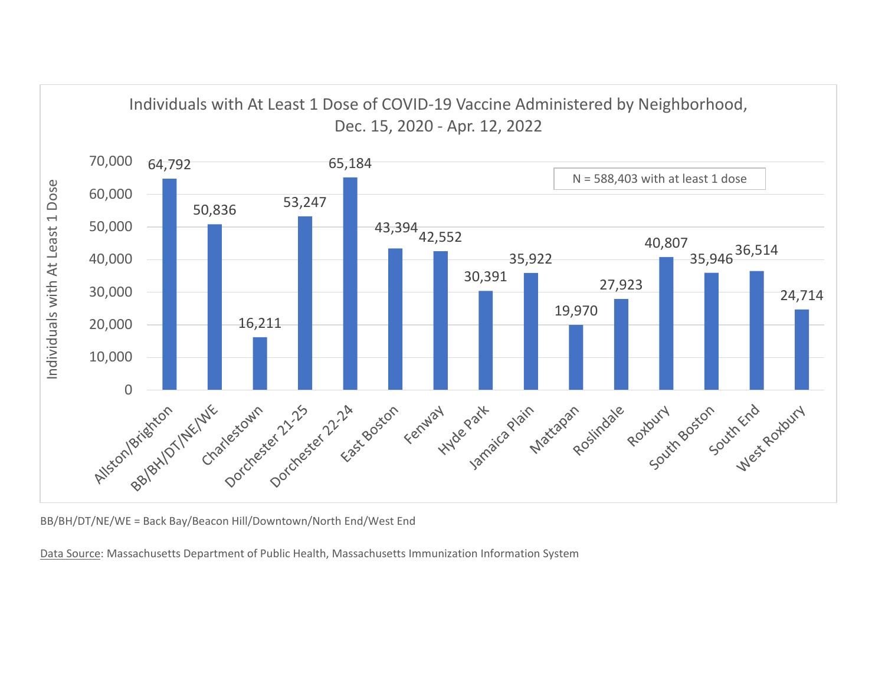

BB/BH/DT/NE/WE <sup>=</sup> Back Bay/Beacon Hill/Downtown/North End/West End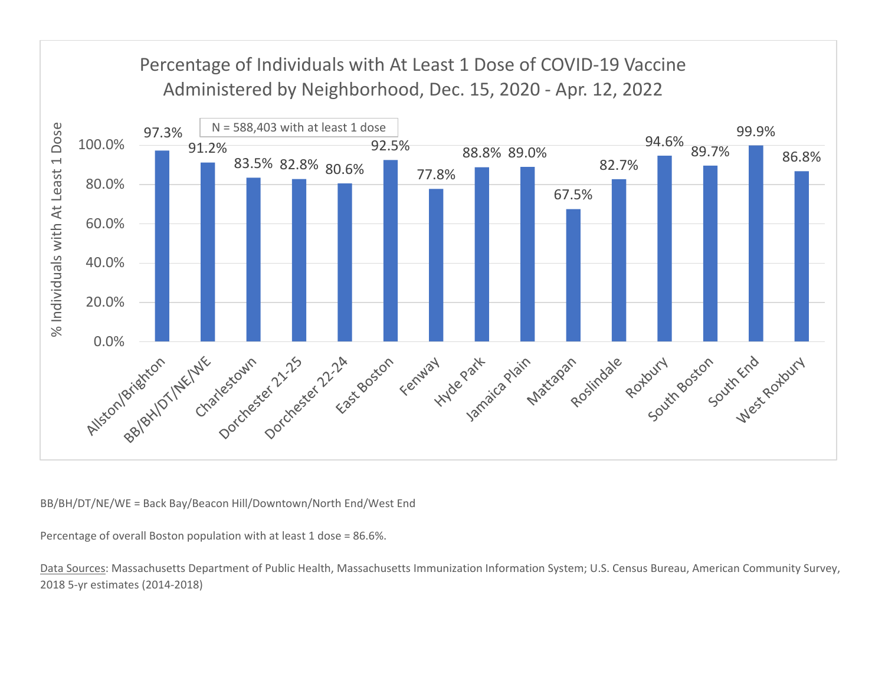

BB/BH/DT/NE/WE <sup>=</sup> Back Bay/Beacon Hill/Downtown/North End/West End

Percentage of overall Boston population with at least 1 dose <sup>=</sup> 86.6%.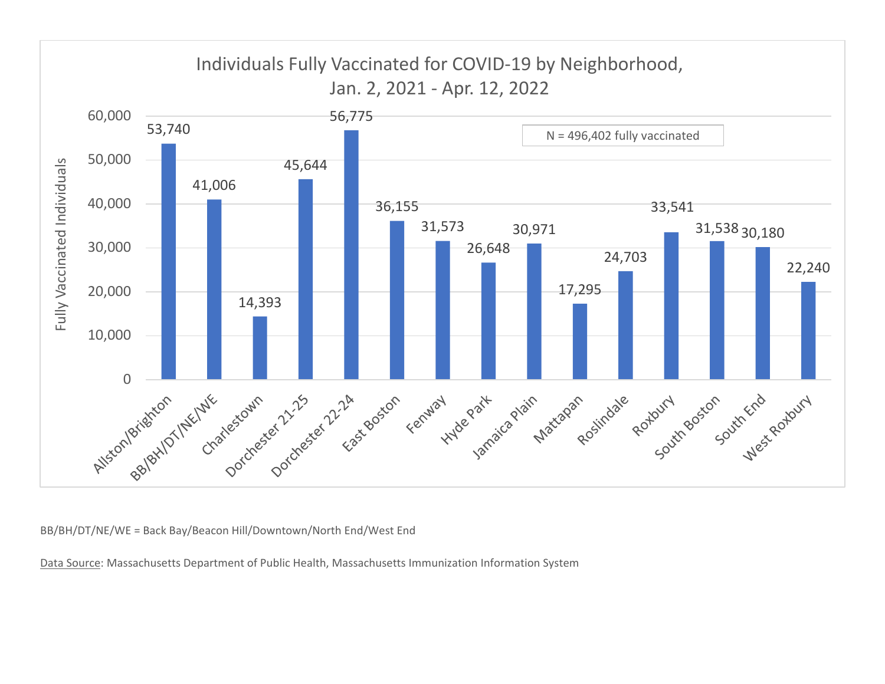

BB/BH/DT/NE/WE <sup>=</sup> Back Bay/Beacon Hill/Downtown/North End/West End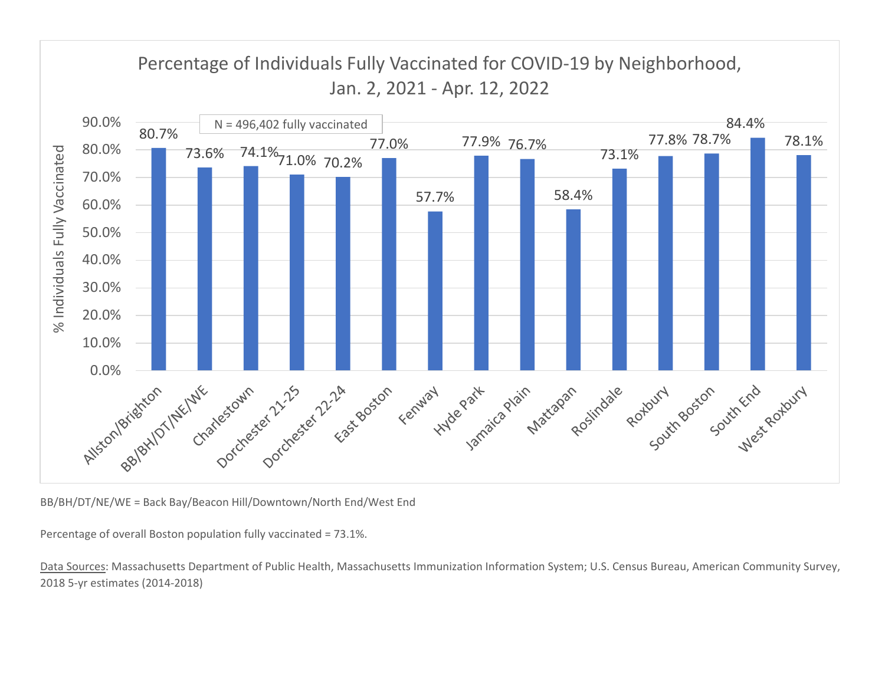

BB/BH/DT/NE/WE <sup>=</sup> Back Bay/Beacon Hill/Downtown/North End/West End

Percentage of overall Boston population fully vaccinated <sup>=</sup> 73.1%.